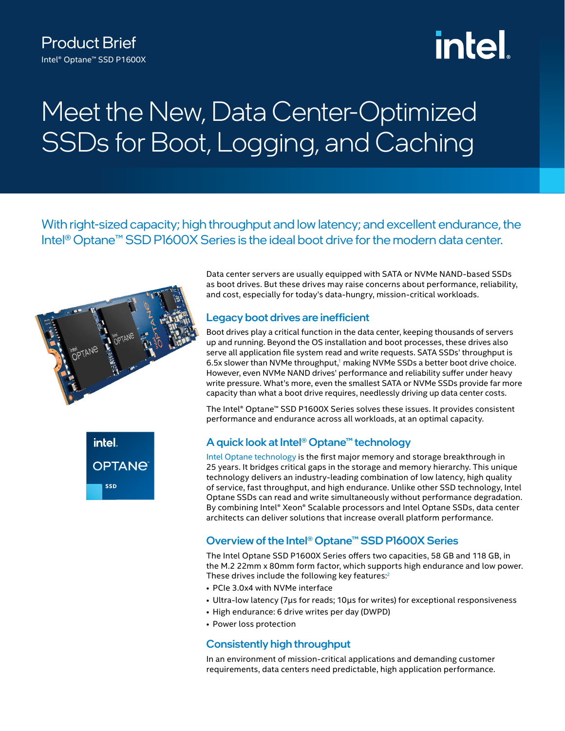# intel.

# Meet the New, Data Center-Optimized SSDs for Boot, Logging, and Caching

With right-sized capacity; high throughput and low latency; and excellent endurance, the Intel<sup>®</sup> Optane<sup>™</sup> SSD P1600X Series is the ideal boot drive for the modern data center.





Data center servers are usually equipped with SATA or NVMe NAND-based SSDs as boot drives. But these drives may raise concerns about performance, reliability, and cost, especially for today's data-hungry, mission-critical workloads.

# Legacy boot drives are inefficient

Boot drives play a critical function in the data center, keeping thousands of servers up and running. Beyond the OS installation and boot processes, these drives also serve all application file system read and write requests. SATA SSDs' throughput is 6.5x slower than NVMe throughput,<sup>1</sup> making NVMe SSDs a better boot drive choice. However, even NVMe NAND drives' performance and reliability suffer under heavy write pressure. What's more, even the smallest SATA or NVMe SSDs provide far more capacity than what a boot drive requires, needlessly driving up data center costs.

The Intel® Optane™ SSD P1600X Series solves these issues. It provides consistent performance and endurance across all workloads, at an optimal capacity.

# A quick look at Intel® Optane™ technology

[Intel Optane technology](https://www.intel.com/content/www/us/en/architecture-and-technology/optane-technology/optane-for-data-centers.html) is the first major memory and storage breakthrough in 25 years. It bridges critical gaps in the storage and memory hierarchy. This unique technology delivers an industry-leading combination of low latency, high quality of service, fast throughput, and high endurance. Unlike other SSD technology, Intel Optane SSDs can read and write simultaneously without performance degradation. By combining Intel® Xeon® Scalable processors and Intel Optane SSDs, data center architects can deliver solutions that increase overall platform performance.

# Overview of the Intel® Optane™ SSD P1600X Series

The Intel Optane SSD P1600X Series offers two capacities, 58 GB and 118 GB, in the M.2 22mm x 80mm form factor, which supports high endurance and low power. These drives include the following key features:<sup>2</sup>

- PCIe 3.0x4 with NVMe interface
- Ultra-low latency (7μs for reads; 10μs for writes) for exceptional responsiveness
- High endurance: 6 drive writes per day (DWPD)
- Power loss protection

# Consistently high throughput

In an environment of mission-critical applications and demanding customer requirements, data centers need predictable, high application performance.